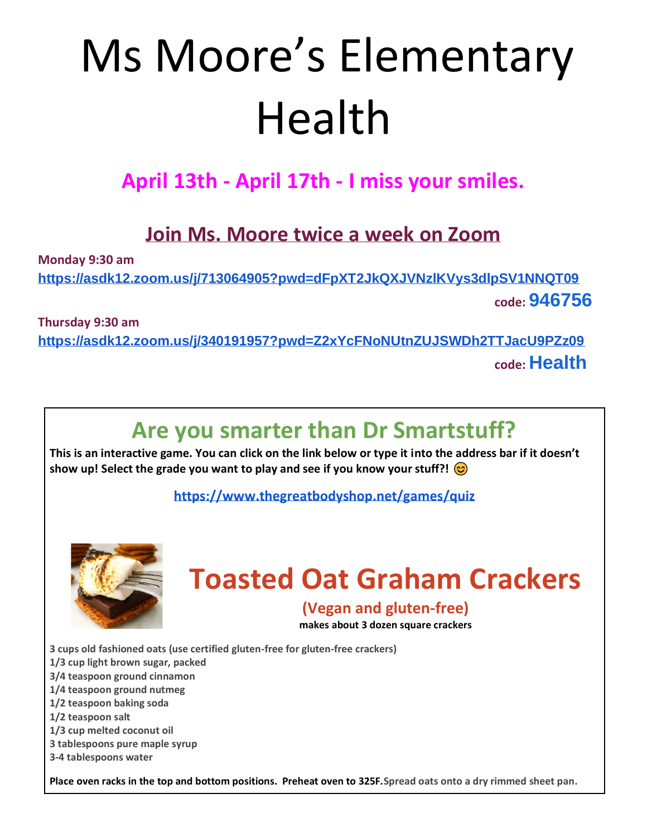# Ms Moore's Elementary Health

### **April 13th - April 17th - I miss your smiles.**

#### **Join Ms. Moore twice a week on Zoom**

**Monday 9:30 am** 

**<https://asdk12.zoom.us/j/713064905?pwd=dFpXT2JkQXJVNzlKVys3dlpSV1NNQT09> code: 946756**

**Thursday 9:30 am** 

**<https://asdk12.zoom.us/j/340191957?pwd=Z2xYcFNoNUtnZUJSWDh2TTJacU9PZz09> code: Health**

## **Are you smarter than Dr Smartstuff?**

**This is an interactive game. You can click on the link below or type it into the address bar if it doesn't show up! Select the grade you want to play and see if you know your stuff?!** 

**<https://www.thegreatbodyshop.net/games/quiz>**



# **Toasted Oat Graham Crackers**

#### **(Vegan and gluten-free)**

**makes about 3 dozen square crackers**

**3 cups old fashioned oats (use certified gluten-free for gluten-free crackers)**

**1/3 cup light brown sugar, packed**

**3/4 teaspoon ground cinnamon**

**1/4 teaspoon ground nutmeg**

**1/2 teaspoon baking soda**

**1/2 teaspoon salt**

**1/3 cup melted coconut oil**

**3 tablespoons pure maple syrup**

**3-4 tablespoons water**

**Place oven racks in the top and bottom positions. Preheat oven to 325F.Spread oats onto a dry rimmed sheet pan.**